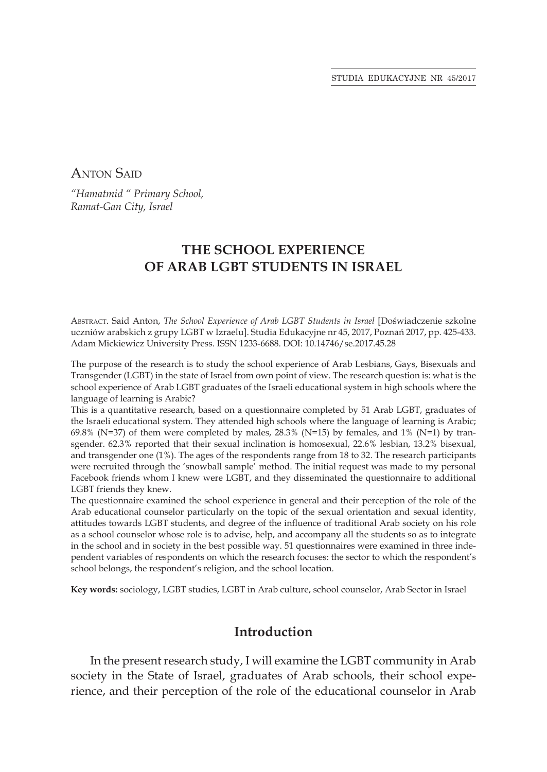Anton Said

*"Hamatmid " Primary School, Ramat-Gan City, Israel* 

# **THE SCHOOL EXPERIENCE OF ARAB LGBT STUDENTS IN ISRAEL**

Abstract. Said Anton, *The School Experience of Arab LGBT Students in Israel* [Doświadczenie szkolne uczniów arabskich z grupy LGBT w Izraelu]. Studia Edukacyjne nr 45, 2017, Poznań 2017, pp. 425-433. Adam Mickiewicz University Press. ISSN 1233-6688. DOI: 10.14746/se.2017.45.28

The purpose of the research is to study the school experience of Arab Lesbians, Gays, Bisexuals and Transgender (LGBT) in the state of Israel from own point of view. The research question is: what is the school experience of Arab LGBT graduates of the Israeli educational system in high schools where the language of learning is Arabic?

This is a quantitative research, based on a questionnaire completed by 51 Arab LGBT, graduates of the Israeli educational system. They attended high schools where the language of learning is Arabic; 69.8% (N=37) of them were completed by males,  $28.3\%$  (N=15) by females, and  $1\%$  (N=1) by transgender. 62.3% reported that their sexual inclination is homosexual, 22.6% lesbian, 13.2% bisexual, and transgender one (1%). The ages of the respondents range from 18 to 32. The research participants were recruited through the 'snowball sample' method. The initial request was made to my personal Facebook friends whom I knew were LGBT, and they disseminated the questionnaire to additional LGBT friends they knew.

The questionnaire examined the school experience in general and their perception of the role of the Arab educational counselor particularly on the topic of the sexual orientation and sexual identity, attitudes towards LGBT students, and degree of the influence of traditional Arab society on his role as a school counselor whose role is to advise, help, and accompany all the students so as to integrate in the school and in society in the best possible way. 51 questionnaires were examined in three independent variables of respondents on which the research focuses: the sector to which the respondent's school belongs, the respondent's religion, and the school location.

**Key words:** sociology, LGBT studies, LGBT in Arab culture, school counselor, Arab Sector in Israel

## **Introduction**

In the present research study, I will examine the LGBT community in Arab society in the State of Israel, graduates of Arab schools, their school experience, and their perception of the role of the educational counselor in Arab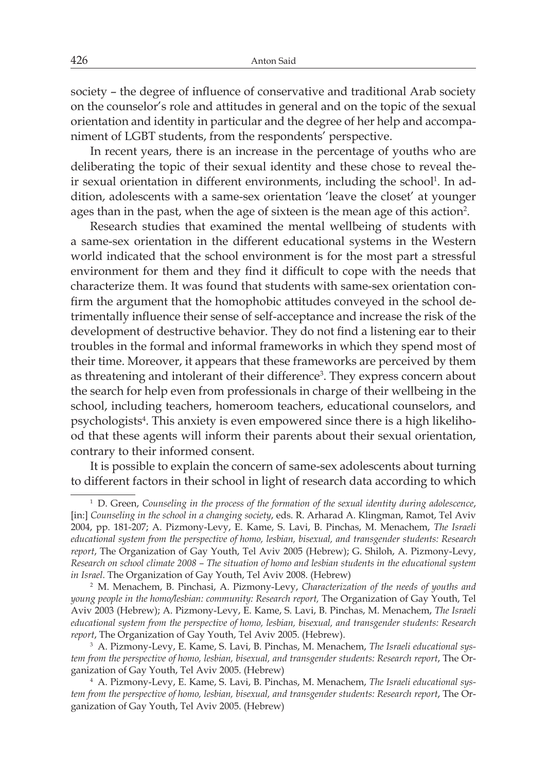society – the degree of influence of conservative and traditional Arab society on the counselor's role and attitudes in general and on the topic of the sexual orientation and identity in particular and the degree of her help and accompaniment of LGBT students, from the respondents' perspective.

In recent years, there is an increase in the percentage of youths who are deliberating the topic of their sexual identity and these chose to reveal their sexual orientation in different environments, including the school<sup>1</sup>. In addition, adolescents with a same-sex orientation 'leave the closet' at younger ages than in the past, when the age of sixteen is the mean age of this action<sup>2</sup>.

Research studies that examined the mental wellbeing of students with a same-sex orientation in the different educational systems in the Western world indicated that the school environment is for the most part a stressful environment for them and they find it difficult to cope with the needs that characterize them. It was found that students with same-sex orientation confirm the argument that the homophobic attitudes conveyed in the school detrimentally influence their sense of self-acceptance and increase the risk of the development of destructive behavior. They do not find a listening ear to their troubles in the formal and informal frameworks in which they spend most of their time. Moreover, it appears that these frameworks are perceived by them as threatening and intolerant of their difference<sup>3</sup>. They express concern about the search for help even from professionals in charge of their wellbeing in the school, including teachers, homeroom teachers, educational counselors, and psychologists<sup>4</sup>. This anxiety is even empowered since there is a high likelihood that these agents will inform their parents about their sexual orientation, contrary to their informed consent.

It is possible to explain the concern of same-sex adolescents about turning to different factors in their school in light of research data according to which

<sup>1</sup> D. Green, *Counseling in the process of the formation of the sexual identity during adolescence*, [in:] *Counseling in the school in a changing society*, eds. R. Arharad A. Klingman, Ramot, Tel Aviv 2004, pp. 181-207; A. Pizmony-Levy, E. Kame, S. Lavi, B. Pinchas, M. Menachem, *The Israeli educational system from the perspective of homo, lesbian, bisexual, and transgender students: Research report*, The Organization of Gay Youth, Tel Aviv 2005 (Hebrew); G. Shiloh, A. Pizmony-Levy, *Research on school climate 2008 – The situation of homo and lesbian students in the educational system in Israel*. The Organization of Gay Youth, Tel Aviv 2008. (Hebrew)

<sup>2</sup> M. Menachem, B. Pinchasi, A. Pizmony-Levy, *Characterization of the needs of youths and young people in the homo/lesbian: community: Research report,* The Organization of Gay Youth, Tel Aviv 2003 (Hebrew); A. Pizmony-Levy, E. Kame, S. Lavi, B. Pinchas, M. Menachem, *The Israeli educational system from the perspective of homo, lesbian, bisexual, and transgender students: Research report*, The Organization of Gay Youth, Tel Aviv 2005. (Hebrew).

<sup>3</sup> A. Pizmony-Levy, E. Kame, S. Lavi, B. Pinchas, M. Menachem, *The Israeli educational system from the perspective of homo, lesbian, bisexual, and transgender students: Research report*, The Organization of Gay Youth, Tel Aviv 2005. (Hebrew)

<sup>4</sup> A. Pizmony-Levy, E. Kame, S. Lavi, B. Pinchas, M. Menachem, *The Israeli educational system from the perspective of homo, lesbian, bisexual, and transgender students: Research report*, The Organization of Gay Youth, Tel Aviv 2005. (Hebrew)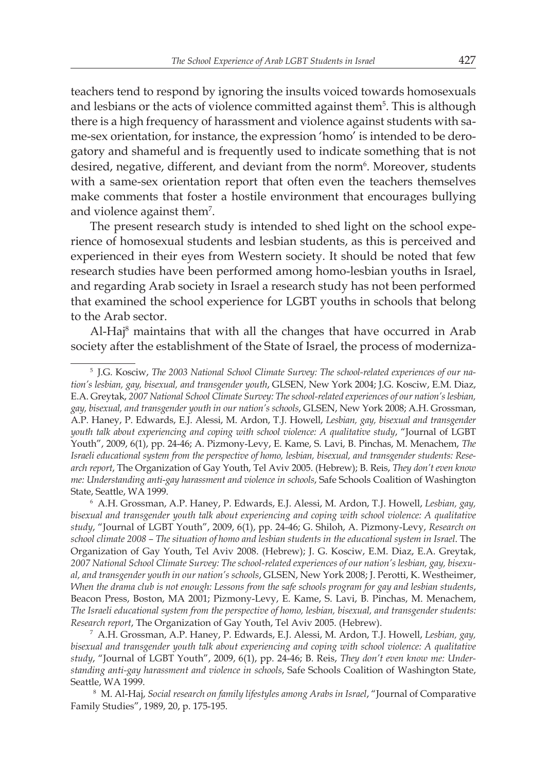teachers tend to respond by ignoring the insults voiced towards homosexuals and lesbians or the acts of violence committed against them<sup>5</sup>. This is although there is a high frequency of harassment and violence against students with same-sex orientation, for instance, the expression 'homo' is intended to be derogatory and shameful and is frequently used to indicate something that is not desired, negative, different, and deviant from the norm<sup>6</sup>. Moreover, students with a same-sex orientation report that often even the teachers themselves make comments that foster a hostile environment that encourages bullying and violence against them7 .

The present research study is intended to shed light on the school experience of homosexual students and lesbian students, as this is perceived and experienced in their eyes from Western society. It should be noted that few research studies have been performed among homo-lesbian youths in Israel, and regarding Arab society in Israel a research study has not been performed that examined the school experience for LGBT youths in schools that belong to the Arab sector.

Al-Haj<sup>8</sup> maintains that with all the changes that have occurred in Arab society after the establishment of the State of Israel, the process of moderniza-

<sup>5</sup> J.G. Kosciw, *The 2003 National School Climate Survey: The school-related experiences of our nation's lesbian, gay, bisexual, and transgender youth*, GLSEN, New York 2004; J.G. Kosciw, E.M. Diaz, E.A. Greytak, *2007 National School Climate Survey: The school-related experiences of our nation's lesbian, gay, bisexual, and transgender youth in our nation's schools*, GLSEN, New York 2008; A.H. Grossman, A.P. Haney, P. Edwards, E.J. Alessi, M. Ardon, T.J. Howell, *Lesbian, gay, bisexual and transgender youth talk about experiencing and coping with school violence: A qualitative study*, "Journal of LGBT Youth", 2009, 6(1), pp. 24-46; A. Pizmony-Levy, E. Kame, S. Lavi, B. Pinchas, M. Menachem, *The Israeli educational system from the perspective of homo, lesbian, bisexual, and transgender students: Research report*, The Organization of Gay Youth, Tel Aviv 2005. (Hebrew); B. Reis, *They don't even know me: Understanding anti-gay harassment and violence in schools*, Safe Schools Coalition of Washington State, Seattle, WA 1999.<br>
<sup>6</sup> A.H. Grossman, A.P. Haney, P. Edwards, E.J. Alessi, M. Ardon, T.J. Howell, *Lesbian, gay*,

*bisexual and transgender youth talk about experiencing and coping with school violence: A qualitative study*, "Journal of LGBT Youth", 2009, 6(1), pp. 24-46; G. Shiloh, A. Pizmony-Levy, *Research on school climate 2008 – The situation of homo and lesbian students in the educational system in Israel*. The Organization of Gay Youth, Tel Aviv 2008. (Hebrew); J. G. Kosciw, E.M. Diaz, E.A. Greytak, *2007 National School Climate Survey: The school-related experiences of our nation's lesbian, gay, bisexual, and transgender youth in our nation's schools*, GLSEN, New York 2008; J. Perotti, K. Westheimer, *When the drama club is not enough: Lessons from the safe schools program for gay and lesbian students*, Beacon Press, Boston, MA 2001; Pizmony-Levy, E. Kame, S. Lavi, B. Pinchas, M. Menachem, *The Israeli educational system from the perspective of homo, lesbian, bisexual, and transgender students: Research report*, The Organization of Gay Youth, Tel Aviv 2005. (Hebrew).

<sup>7</sup> A.H. Grossman, A.P. Haney, P. Edwards, E.J. Alessi, M. Ardon, T.J. Howell, *Lesbian, gay, bisexual and transgender youth talk about experiencing and coping with school violence: A qualitative study*, "Journal of LGBT Youth", 2009, 6(1), pp. 24-46; B. Reis, *They don't even know me: Understanding anti-gay harassment and violence in schools*, Safe Schools Coalition of Washington State, Seattle, WA 1999.

<sup>&</sup>lt;sup>8</sup> M. Al-Haj, *Social research on family lifestyles among Arabs in Israel*, "Journal of Comparative Family Studies", 1989, 20, p. 175-195.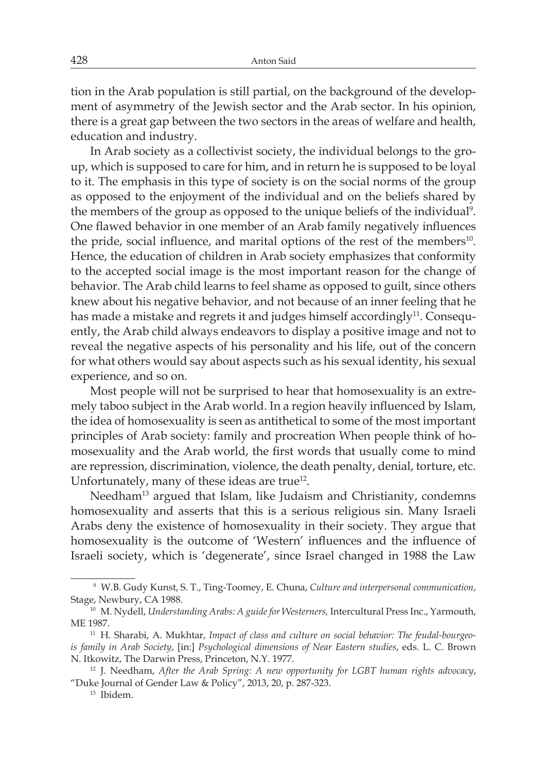tion in the Arab population is still partial, on the background of the development of asymmetry of the Jewish sector and the Arab sector. In his opinion, there is a great gap between the two sectors in the areas of welfare and health, education and industry.

In Arab society as a collectivist society, the individual belongs to the group, which is supposed to care for him, and in return he is supposed to be loyal to it. The emphasis in this type of society is on the social norms of the group as opposed to the enjoyment of the individual and on the beliefs shared by the members of the group as opposed to the unique beliefs of the individual<sup>9</sup>. One flawed behavior in one member of an Arab family negatively influences the pride, social influence, and marital options of the rest of the members<sup>10</sup>. Hence, the education of children in Arab society emphasizes that conformity to the accepted social image is the most important reason for the change of behavior. The Arab child learns to feel shame as opposed to guilt, since others knew about his negative behavior, and not because of an inner feeling that he has made a mistake and regrets it and judges himself accordingly<sup>11</sup>. Consequently, the Arab child always endeavors to display a positive image and not to reveal the negative aspects of his personality and his life, out of the concern for what others would say about aspects such as his sexual identity, his sexual experience, and so on.

Most people will not be surprised to hear that homosexuality is an extremely taboo subject in the Arab world. In a region heavily influenced by Islam, the idea of homosexuality is seen as antithetical to some of the most important principles of Arab society: family and procreation When people think of homosexuality and the Arab world, the first words that usually come to mind are repression, discrimination, violence, the death penalty, denial, torture, etc. Unfortunately, many of these ideas are true<sup>12</sup>.

Needham13 argued that Islam, like Judaism and Christianity, condemns homosexuality and asserts that this is a serious religious sin. Many Israeli Arabs deny the existence of homosexuality in their society. They argue that homosexuality is the outcome of 'Western' influences and the influence of Israeli society, which is 'degenerate', since Israel changed in 1988 the Law

<sup>9</sup> W.B. Gudy Kunst, S. T., Ting-Toomey, E. Chuna, *Culture and interpersonal communication*, Stage, Newbury, CA 1988.

<sup>10</sup> M. Nydell, *Understanding Arabs: A guide for Westerners,* Intercultural Press Inc., Yarmouth, ME 1987.

<sup>&</sup>lt;sup>11</sup> H. Sharabi, A. Mukhtar, *Impact of class and culture on social behavior: The feudal-bourgeois family in Arab Society*, [in:] *Psychological dimensions of Near Eastern studies*, eds. L. C. Brown N. Itkowitz, The Darwin Press, Princeton, N.Y. 1977.<br><sup>12</sup> J. Needham, *After the Arab Spring: A new opportunity for LGBT human rights advocacy,* 

<sup>&</sup>quot;Duke Journal of Gender Law & Policy", 2013, 20, p. 287-323.

<sup>13</sup> Ibidem.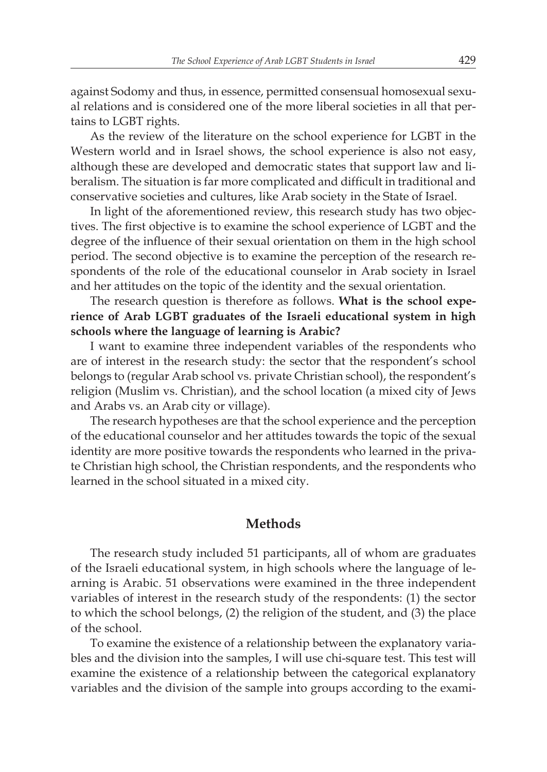against Sodomy and thus, in essence, permitted consensual homosexual sexual relations and is considered one of the more liberal societies in all that pertains to LGBT rights.

As the review of the literature on the school experience for LGBT in the Western world and in Israel shows, the school experience is also not easy, although these are developed and democratic states that support law and liberalism. The situation is far more complicated and difficult in traditional and conservative societies and cultures, like Arab society in the State of Israel.

In light of the aforementioned review, this research study has two objectives. The first objective is to examine the school experience of LGBT and the degree of the influence of their sexual orientation on them in the high school period. The second objective is to examine the perception of the research respondents of the role of the educational counselor in Arab society in Israel and her attitudes on the topic of the identity and the sexual orientation.

The research question is therefore as follows. **What is the school experience of Arab LGBT graduates of the Israeli educational system in high schools where the language of learning is Arabic?**

I want to examine three independent variables of the respondents who are of interest in the research study: the sector that the respondent's school belongs to (regular Arab school vs. private Christian school), the respondent's religion (Muslim vs. Christian), and the school location (a mixed city of Jews and Arabs vs. an Arab city or village).

The research hypotheses are that the school experience and the perception of the educational counselor and her attitudes towards the topic of the sexual identity are more positive towards the respondents who learned in the private Christian high school, the Christian respondents, and the respondents who learned in the school situated in a mixed city.

#### **Methods**

The research study included 51 participants, all of whom are graduates of the Israeli educational system, in high schools where the language of learning is Arabic. 51 observations were examined in the three independent variables of interest in the research study of the respondents: (1) the sector to which the school belongs, (2) the religion of the student, and (3) the place of the school.

To examine the existence of a relationship between the explanatory variables and the division into the samples, I will use chi-square test. This test will examine the existence of a relationship between the categorical explanatory variables and the division of the sample into groups according to the exami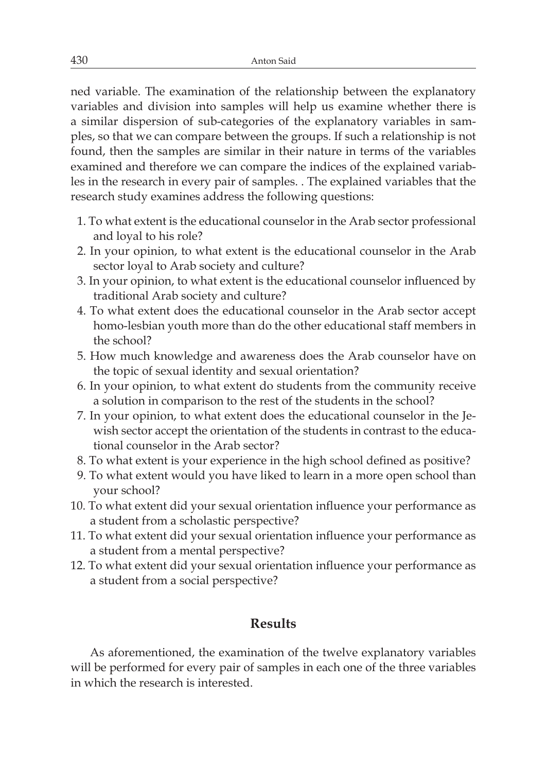ned variable. The examination of the relationship between the explanatory variables and division into samples will help us examine whether there is a similar dispersion of sub-categories of the explanatory variables in samples, so that we can compare between the groups. If such a relationship is not found, then the samples are similar in their nature in terms of the variables examined and therefore we can compare the indices of the explained variables in the research in every pair of samples. . The explained variables that the research study examines address the following questions:

- 1. To what extent is the educational counselor in the Arab sector professional and loyal to his role?
- 2. In your opinion, to what extent is the educational counselor in the Arab sector loyal to Arab society and culture?
- 3. In your opinion, to what extent is the educational counselor influenced by traditional Arab society and culture?
- 4. To what extent does the educational counselor in the Arab sector accept homo-lesbian youth more than do the other educational staff members in the school?
- 5. How much knowledge and awareness does the Arab counselor have on the topic of sexual identity and sexual orientation?
- 6. In your opinion, to what extent do students from the community receive a solution in comparison to the rest of the students in the school?
- 7. In your opinion, to what extent does the educational counselor in the Jewish sector accept the orientation of the students in contrast to the educational counselor in the Arab sector?
- 8. To what extent is your experience in the high school defined as positive?
- 9. To what extent would you have liked to learn in a more open school than your school?
- 10. To what extent did your sexual orientation influence your performance as a student from a scholastic perspective?
- 11. To what extent did your sexual orientation influence your performance as a student from a mental perspective?
- 12. To what extent did your sexual orientation influence your performance as a student from a social perspective?

### **Results**

As aforementioned, the examination of the twelve explanatory variables will be performed for every pair of samples in each one of the three variables in which the research is interested.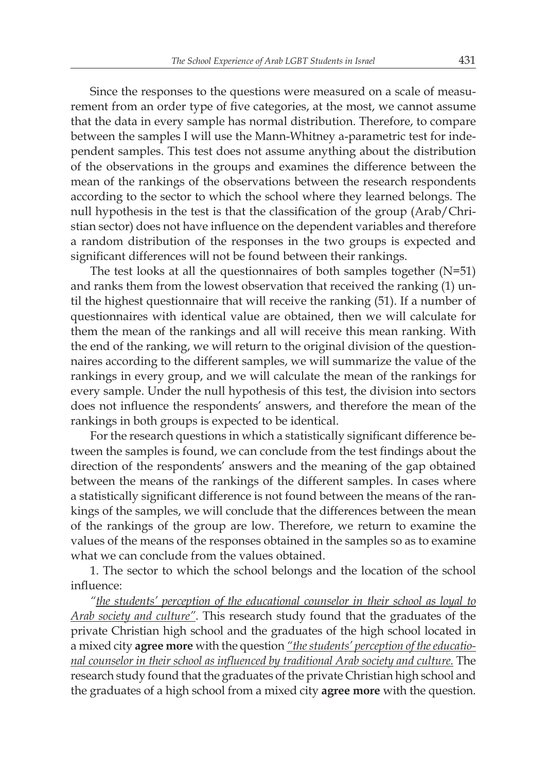Since the responses to the questions were measured on a scale of measurement from an order type of five categories, at the most, we cannot assume that the data in every sample has normal distribution. Therefore, to compare between the samples I will use the Mann-Whitney a-parametric test for independent samples. This test does not assume anything about the distribution of the observations in the groups and examines the difference between the mean of the rankings of the observations between the research respondents according to the sector to which the school where they learned belongs. The null hypothesis in the test is that the classification of the group (Arab/Christian sector) does not have influence on the dependent variables and therefore a random distribution of the responses in the two groups is expected and significant differences will not be found between their rankings.

The test looks at all the questionnaires of both samples together  $(N=51)$ and ranks them from the lowest observation that received the ranking (1) until the highest questionnaire that will receive the ranking (51). If a number of questionnaires with identical value are obtained, then we will calculate for them the mean of the rankings and all will receive this mean ranking. With the end of the ranking, we will return to the original division of the questionnaires according to the different samples, we will summarize the value of the rankings in every group, and we will calculate the mean of the rankings for every sample. Under the null hypothesis of this test, the division into sectors does not influence the respondents' answers, and therefore the mean of the rankings in both groups is expected to be identical.

For the research questions in which a statistically significant difference between the samples is found, we can conclude from the test findings about the direction of the respondents' answers and the meaning of the gap obtained between the means of the rankings of the different samples. In cases where a statistically significant difference is not found between the means of the rankings of the samples, we will conclude that the differences between the mean of the rankings of the group are low. Therefore, we return to examine the values of the means of the responses obtained in the samples so as to examine what we can conclude from the values obtained.

1. The sector to which the school belongs and the location of the school influence:

*"the students' perception of the educational counselor in their school as loyal to Arab society and culture".* This research study found that the graduates of the private Christian high school and the graduates of the high school located in a mixed city **agree more** with the question *"the students' perception of the educational counselor in their school as influenced by traditional Arab society and culture.* The research study found that the graduates of the private Christian high school and the graduates of a high school from a mixed city **agree more** with the question.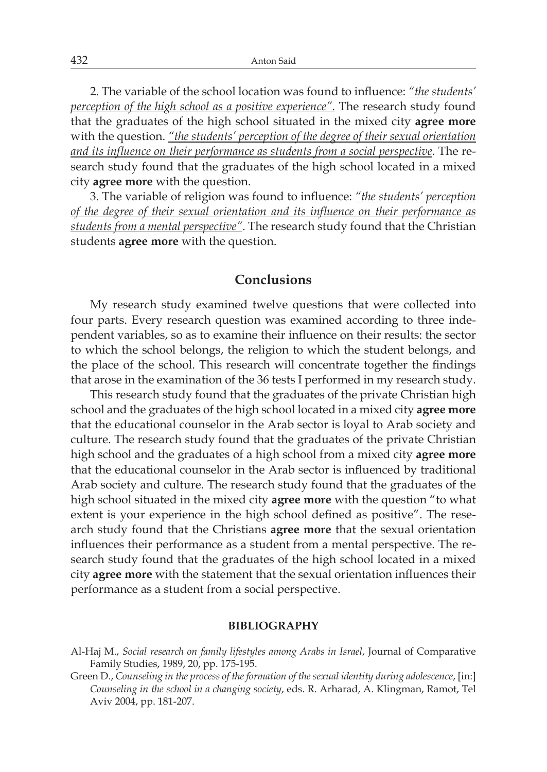2. The variable of the school location was found to influence: *"the students' perception of the high school as a positive experience".* The research study found that the graduates of the high school situated in the mixed city **agree more** with the question. *"the students' perception of the degree of their sexual orientation and its influence on their performance as students from a social perspective*. The research study found that the graduates of the high school located in a mixed city **agree more** with the question.

3. The variable of religion was found to influence: *"the students' perception of the degree of their sexual orientation and its influence on their performance as students from a mental perspective"*. The research study found that the Christian students **agree more** with the question.

### **Conclusions**

My research study examined twelve questions that were collected into four parts. Every research question was examined according to three independent variables, so as to examine their influence on their results: the sector to which the school belongs, the religion to which the student belongs, and the place of the school. This research will concentrate together the findings that arose in the examination of the 36 tests I performed in my research study.

This research study found that the graduates of the private Christian high school and the graduates of the high school located in a mixed city **agree more** that the educational counselor in the Arab sector is loyal to Arab society and culture. The research study found that the graduates of the private Christian high school and the graduates of a high school from a mixed city **agree more** that the educational counselor in the Arab sector is influenced by traditional Arab society and culture. The research study found that the graduates of the high school situated in the mixed city **agree more** with the question "to what extent is your experience in the high school defined as positive". The research study found that the Christians **agree more** that the sexual orientation influences their performance as a student from a mental perspective. The research study found that the graduates of the high school located in a mixed city **agree more** with the statement that the sexual orientation influences their performance as a student from a social perspective.

#### **BIBLIOGRAPHY**

Green D., *Counseling in the process of the formation of the sexual identity during adolescence*, [in:] *Counseling in the school in a changing society*, eds. R. Arharad, A. Klingman, Ramot, Tel Aviv 2004, pp. 181-207.

Al-Haj M., *Social research on family lifestyles among Arabs in Israel*, Journal of Comparative Family Studies, 1989, 20, pp. 175-195.